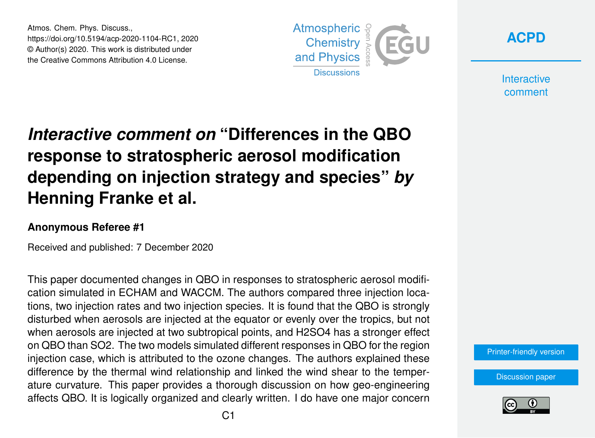Atmos. Chem. Phys. Discuss., https://doi.org/10.5194/acp-2020-1104-RC1, 2020 © Author(s) 2020. This work is distributed under the Creative Commons Attribution 4.0 License.





**Interactive** comment

## *Interactive comment on* **"Differences in the QBO response to stratospheric aerosol modification depending on injection strategy and species"** *by* **Henning Franke et al.**

## **Anonymous Referee #1**

Received and published: 7 December 2020

This paper documented changes in QBO in responses to stratospheric aerosol modification simulated in ECHAM and WACCM. The authors compared three injection locations, two injection rates and two injection species. It is found that the QBO is strongly disturbed when aerosols are injected at the equator or evenly over the tropics, but not when aerosols are injected at two subtropical points, and H2SO4 has a stronger effect on QBO than SO2. The two models simulated different responses in QBO for the region injection case, which is attributed to the ozone changes. The authors explained these difference by the thermal wind relationship and linked the wind shear to the temperature curvature. This paper provides a thorough discussion on how geo-engineering affects QBO. It is logically organized and clearly written. I do have one major concern



[Discussion paper](https://acp.copernicus.org/preprints/acp-2020-1104)

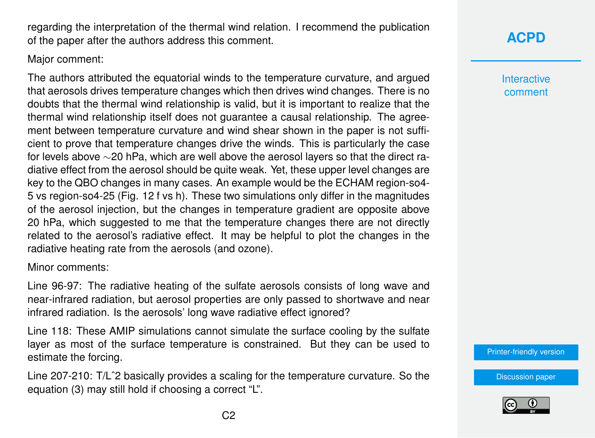regarding the interpretation of the thermal wind relation. I recommend the publication of the paper after the authors address this comment.

Major comment:

The authors attributed the equatorial winds to the temperature curvature, and argued that aerosols drives temperature changes which then drives wind changes. There is no doubts that the thermal wind relationship is valid, but it is important to realize that the thermal wind relationship itself does not guarantee a causal relationship. The agreement between temperature curvature and wind shear shown in the paper is not sufficient to prove that temperature changes drive the winds. This is particularly the case for levels above ∼20 hPa, which are well above the aerosol layers so that the direct radiative effect from the aerosol should be quite weak. Yet, these upper level changes are key to the QBO changes in many cases. An example would be the ECHAM region-so4- 5 vs region-so4-25 (Fig. 12 f vs h). These two simulations only differ in the magnitudes of the aerosol injection, but the changes in temperature gradient are opposite above 20 hPa, which suggested to me that the temperature changes there are not directly related to the aerosol's radiative effect. It may be helpful to plot the changes in the radiative heating rate from the aerosols (and ozone).

Minor comments:

Line 96-97: The radiative heating of the sulfate aerosols consists of long wave and near-infrared radiation, but aerosol properties are only passed to shortwave and near infrared radiation. Is the aerosols' long wave radiative effect ignored?

Line 118: These AMIP simulations cannot simulate the surface cooling by the sulfate layer as most of the surface temperature is constrained. But they can be used to estimate the forcing.

Line 207-210: T/Lˆ2 basically provides a scaling for the temperature curvature. So the equation (3) may still hold if choosing a correct "L".

**[ACPD](https://acp.copernicus.org/preprints/)**

**Interactive** comment

[Printer-friendly version](https://acp.copernicus.org/preprints/acp-2020-1104/acp-2020-1104-RC1-print.pdf)

[Discussion paper](https://acp.copernicus.org/preprints/acp-2020-1104)